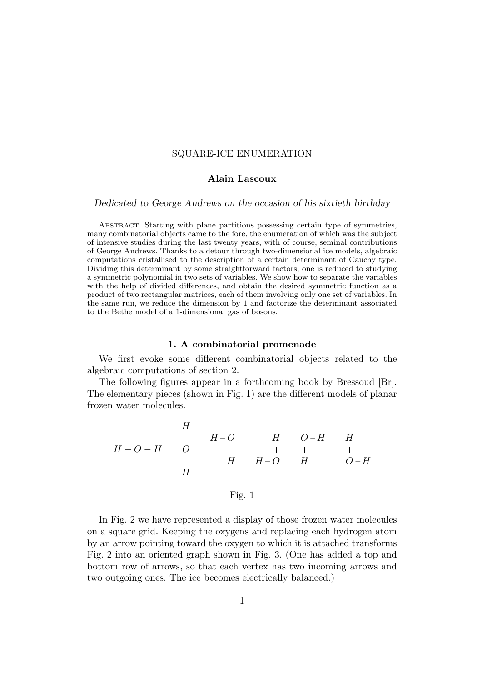# SQUARE-ICE ENUMERATION

### Alain Lascoux

Dedicated to George Andrews on the occasion of his sixtieth birthday

ABSTRACT. Starting with plane partitions possessing certain type of symmetries, many combinatorial objects came to the fore, the enumeration of which was the subject of intensive studies during the last twenty years, with of course, seminal contributions of George Andrews. Thanks to a detour through two-dimensional ice models, algebraic computations cristallised to the description of a certain determinant of Cauchy type. Dividing this determinant by some straightforward factors, one is reduced to studying a symmetric polynomial in two sets of variables. We show how to separate the variables with the help of divided differences, and obtain the desired symmetric function as a product of two rectangular matrices, each of them involving only one set of variables. In the same run, we reduce the dimension by 1 and factorize the determinant associated to the Bethe model of a 1-dimensional gas of bosons.

## 1. A combinatorial promenade

We first evoke some different combinatorial objects related to the algebraic computations of section 2.

The following figures appear in a forthcoming book by Bressoud [Br]. The elementary pieces (shown in Fig. 1) are the different models of planar frozen water molecules.

$$
\begin{array}{ccccccccc} & & & H & & & & & H & & & H & & H \\ & & & \vert & & H & -O & & H & & H & & H \\ & H & & \vert & & \vert & & \vert & & \vert & & \vert & & \vert \\ & & \vert & & \vert & & H & & H & -O & & H & & O-H \\ & & H & & & & & H & & & & O-H & & \end{array}
$$

## Fig. 1

In Fig. 2 we have represented a display of those frozen water molecules on a square grid. Keeping the oxygens and replacing each hydrogen atom by an arrow pointing toward the oxygen to which it is attached transforms Fig. 2 into an oriented graph shown in Fig. 3. (One has added a top and bottom row of arrows, so that each vertex has two incoming arrows and two outgoing ones. The ice becomes electrically balanced.)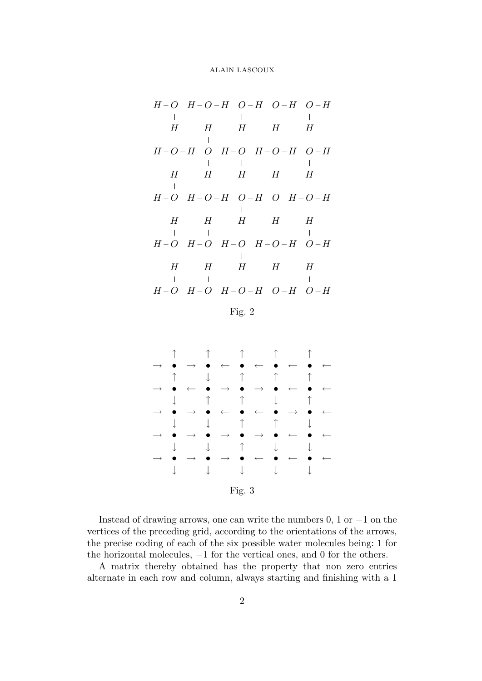$$
H-O \quad H-O-H \quad O-H \quad O-H \quad O-H
$$
\n
$$
H \quad H \quad H \quad H \quad H
$$
\n
$$
H-O-H \quad O \quad H-O \quad H-O-H
$$
\n
$$
H \quad H \quad H \quad H \quad H
$$
\n
$$
H \quad H \quad H \quad H \quad H
$$
\n
$$
H \quad H \quad H \quad H \quad H
$$
\n
$$
H \quad H \quad H \quad H \quad H
$$
\n
$$
H \quad H \quad H \quad H \quad H
$$
\n
$$
H \quad H \quad H \quad H \quad H
$$
\n
$$
H \quad H \quad H \quad H \quad H
$$
\n
$$
H \quad H \quad H \quad H \quad H
$$
\n
$$
H \quad H \quad H \quad H \quad H
$$
\n
$$
H \quad H \quad H \quad H \quad H
$$
\n
$$
H \quad H \quad H \quad H \quad H
$$
\n
$$
H \quad H \quad H \quad H \quad H
$$
\n
$$
H \quad H \quad H \quad H \quad H
$$
\n
$$
H \quad H \quad H \quad H \quad H
$$
\n
$$
H \quad H \quad H \quad H \quad H
$$
\n
$$
H \quad H \quad H \quad H \quad H
$$
\n
$$
H \quad H \quad H \quad H \quad H
$$
\n
$$
H \quad H \quad H \quad H \quad H \quad H
$$
\n
$$
H \quad H \quad H \quad H \quad H \quad H
$$
\n
$$
H \quad H \quad H \quad H \quad H \quad H \quad H
$$

Fig. 2



Instead of drawing arrows, one can write the numbers 0, 1 or −1 on the vertices of the preceding grid, according to the orientations of the arrows, the precise coding of each of the six possible water molecules being: 1 for the horizontal molecules, −1 for the vertical ones, and 0 for the others.

A matrix thereby obtained has the property that non zero entries alternate in each row and column, always starting and finishing with a 1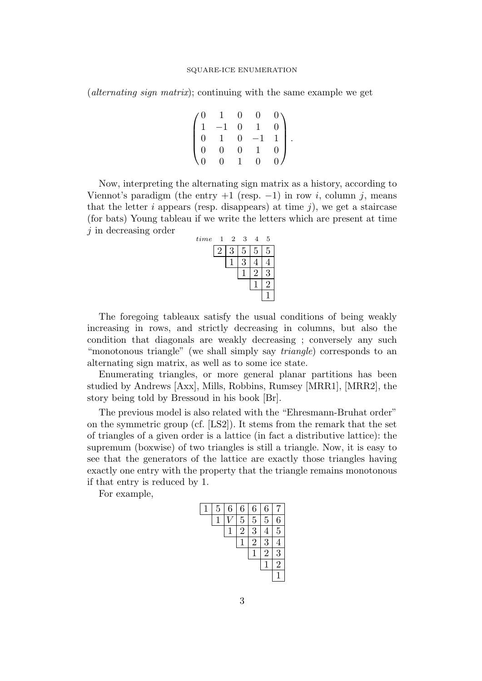(*alternating sign matrix*); continuing with the same example we get

$$
\begin{pmatrix}\n0 & 1 & 0 & 0 & 0 \\
1 & -1 & 0 & 1 & 0 \\
0 & 1 & 0 & -1 & 1 \\
0 & 0 & 0 & 1 & 0 \\
0 & 0 & 1 & 0 & 0\n\end{pmatrix}.
$$

Now, interpreting the alternating sign matrix as a history, according to Viennot's paradigm (the entry  $+1$  (resp.  $-1$ ) in row *i*, column *j*, means that the letter  $i$  appears (resp. disappears) at time  $j$ ), we get a staircase (for bats) Young tableau if we write the letters which are present at time j in decreasing order

| time | $\mathbf{1}$ | 2 | 3 | 4 | 5 |
|------|--------------|---|---|---|---|
|      |              |   | 5 | 5 | 5 |
|      |              |   |   |   |   |
|      |              |   |   |   |   |
|      |              |   |   |   |   |
|      |              |   |   |   |   |

The foregoing tableaux satisfy the usual conditions of being weakly increasing in rows, and strictly decreasing in columns, but also the condition that diagonals are weakly decreasing ; conversely any such "monotonous triangle" (we shall simply say *triangle*) corresponds to an alternating sign matrix, as well as to some ice state.

Enumerating triangles, or more general planar partitions has been studied by Andrews [Axx], Mills, Robbins, Rumsey [MRR1], [MRR2], the story being told by Bressoud in his book [Br].

The previous model is also related with the "Ehresmann-Bruhat order" on the symmetric group (cf. [LS2]). It stems from the remark that the set of triangles of a given order is a lattice (in fact a distributive lattice): the supremum (boxwise) of two triangles is still a triangle. Now, it is easy to see that the generators of the lattice are exactly those triangles having exactly one entry with the property that the triangle remains monotonous if that entry is reduced by 1.

For example,

| 5 | 6 | 6  | 6 | 6 |                |
|---|---|----|---|---|----------------|
|   |   | 5  | 5 | 5 | 6              |
|   |   | ٠, | 3 |   | 5              |
|   |   |    | 2 | : |                |
|   |   |    |   | 2 | 3              |
|   |   |    |   |   | $\overline{2}$ |
|   |   |    |   |   |                |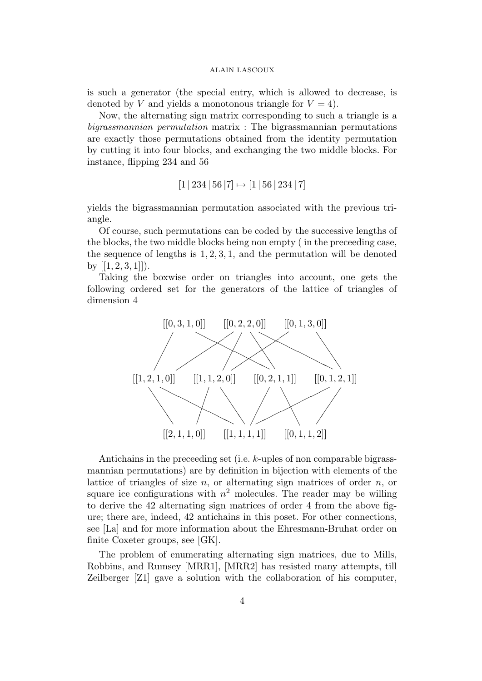is such a generator (the special entry, which is allowed to decrease, is denoted by V and yields a monotonous triangle for  $V = 4$ ).

Now, the alternating sign matrix corresponding to such a triangle is a bigrassmannian permutation matrix : The bigrassmannian permutations are exactly those permutations obtained from the identity permutation by cutting it into four blocks, and exchanging the two middle blocks. For instance, flipping 234 and 56

 $[1 | 234 | 56 | 7] \mapsto [1 | 56 | 234 | 7]$ 

yields the bigrassmannian permutation associated with the previous triangle.

Of course, such permutations can be coded by the successive lengths of the blocks, the two middle blocks being non empty ( in the preceeding case, the sequence of lengths is  $1, 2, 3, 1$ , and the permutation will be denoted by  $[[1, 2, 3, 1]]$ .

Taking the boxwise order on triangles into account, one gets the following ordered set for the generators of the lattice of triangles of dimension 4



Antichains in the preceeding set (i.e. k-uples of non comparable bigrassmannian permutations) are by definition in bijection with elements of the lattice of triangles of size  $n$ , or alternating sign matrices of order  $n$ , or square ice configurations with  $n^2$  molecules. The reader may be willing to derive the 42 alternating sign matrices of order 4 from the above figure; there are, indeed, 42 antichains in this poset. For other connections, see [La] and for more information about the Ehresmann-Bruhat order on finite Coxeter groups, see [GK].

The problem of enumerating alternating sign matrices, due to Mills, Robbins, and Rumsey [MRR1], [MRR2] has resisted many attempts, till Zeilberger [Z1] gave a solution with the collaboration of his computer,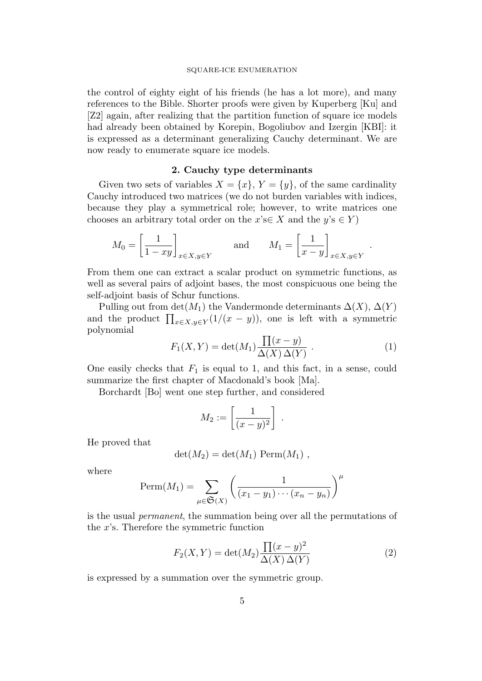the control of eighty eight of his friends (he has a lot more), and many references to the Bible. Shorter proofs were given by Kuperberg [Ku] and [Z2] again, after realizing that the partition function of square ice models had already been obtained by Korepin, Bogoliubov and Izergin [KBI]: it is expressed as a determinant generalizing Cauchy determinant. We are now ready to enumerate square ice models.

### 2. Cauchy type determinants

Given two sets of variables  $X = \{x\}$ ,  $Y = \{y\}$ , of the same cardinality Cauchy introduced two matrices (we do not burden variables with indices, because they play a symmetrical role; however, to write matrices one chooses an arbitrary total order on the  $x's \in X$  and the  $y's \in Y$ 

$$
M_0 = \left[\frac{1}{1 - xy}\right]_{x \in X, y \in Y} \quad \text{and} \quad M_1 = \left[\frac{1}{x - y}\right]_{x \in X, y \in Y}.
$$

From them one can extract a scalar product on symmetric functions, as well as several pairs of adjoint bases, the most conspicuous one being the self-adjoint basis of Schur functions.

Pulling out from  $\det(M_1)$  the Vandermonde determinants  $\Delta(X)$ ,  $\Delta(Y)$ and the product  $\prod_{x \in X, y \in Y} (1/(x-y))$ , one is left with a symmetric polynomial

$$
F_1(X,Y) = \det(M_1) \frac{\prod(x-y)}{\Delta(X)\,\Delta(Y)} . \tag{1}
$$

One easily checks that  $F_1$  is equal to 1, and this fact, in a sense, could summarize the first chapter of Macdonald's book [Ma].

Borchardt [Bo] went one step further, and considered

$$
M_2 := \left[\frac{1}{(x-y)^2}\right] \ .
$$

He proved that

$$
\det(M_2) = \det(M_1) \text{ Perm}(M_1) ,
$$

where

$$
\text{Perm}(M_1) = \sum_{\mu \in \mathfrak{S}(X)} \left( \frac{1}{(x_1 - y_1) \cdots (x_n - y_n)} \right)^{\mu}
$$

is the usual permanent, the summation being over all the permutations of the  $x$ 's. Therefore the symmetric function

$$
F_2(X,Y) = \det(M_2) \frac{\prod (x-y)^2}{\Delta(X)\,\Delta(Y)}\tag{2}
$$

is expressed by a summation over the symmetric group.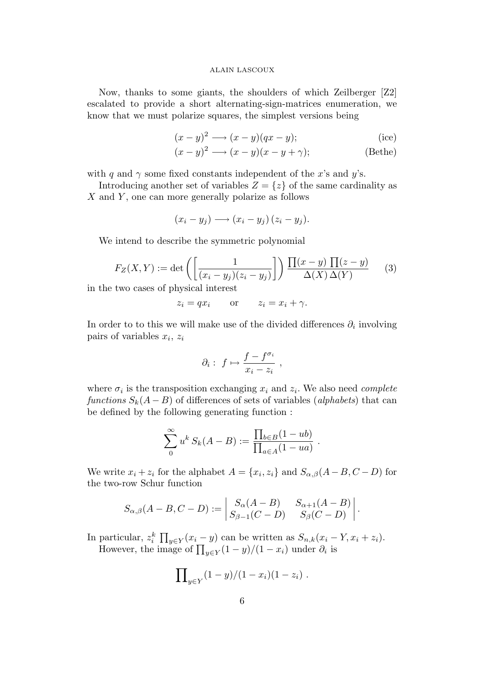Now, thanks to some giants, the shoulders of which Zeilberger [Z2] escalated to provide a short alternating-sign-matrices enumeration, we know that we must polarize squares, the simplest versions being

$$
(x-y)^2 \longrightarrow (x-y)(qx-y); \tag{ice}
$$

$$
(x - y)^2 \longrightarrow (x - y)(x - y + \gamma);
$$
 (Bethe)

with q and  $\gamma$  some fixed constants independent of the x's and y's.

Introducing another set of variables  $Z = \{z\}$  of the same cardinality as  $X$  and  $Y$ , one can more generally polarize as follows

$$
(x_i - y_j) \longrightarrow (x_i - y_j) (z_i - y_j).
$$

We intend to describe the symmetric polynomial

$$
F_Z(X, Y) := \det\left(\left[\frac{1}{(x_i - y_j)(z_i - y_j)}\right]\right) \frac{\prod(x - y) \prod(z - y)}{\Delta(X) \Delta(Y)} \tag{3}
$$

in the two cases of physical interest

$$
z_i = qx_i
$$
 or  $z_i = x_i + \gamma$ .

In order to to this we will make use of the divided differences  $\partial_i$  involving pairs of variables  $x_i$ ,  $z_i$ 

$$
\partial_i: f \mapsto \frac{f - f^{\sigma_i}}{x_i - z_i} ,
$$

where  $\sigma_i$  is the transposition exchanging  $x_i$  and  $z_i$ . We also need *complete* functions  $S_k(A - B)$  of differences of sets of variables (alphabets) that can be defined by the following generating function :

$$
\sum_{0}^{\infty} u^{k} S_{k}(A-B) := \frac{\prod_{b \in B} (1 - ub)}{\prod_{a \in A} (1 - ua)}.
$$

We write  $x_i + z_i$  for the alphabet  $A = \{x_i, z_i\}$  and  $S_{\alpha,\beta}(A - B, C - D)$  for the two-row Schur function

$$
S_{\alpha,\beta}(A-B,C-D) := \begin{vmatrix} S_{\alpha}(A-B) & S_{\alpha+1}(A-B) \\ S_{\beta-1}(C-D) & S_{\beta}(C-D) \end{vmatrix}.
$$

In particular,  $z_i^k \prod_{y \in Y} (x_i - y)$  can be written as  $S_{n,k}(x_i - Y, x_i + z_i)$ . However, the image of  $\prod_{y \in Y} (1-y)/(1-x_i)$  under  $\partial_i$  is

$$
\prod\nolimits_{y\in Y}(1-y)/(1-x_i)(1-z_i) .
$$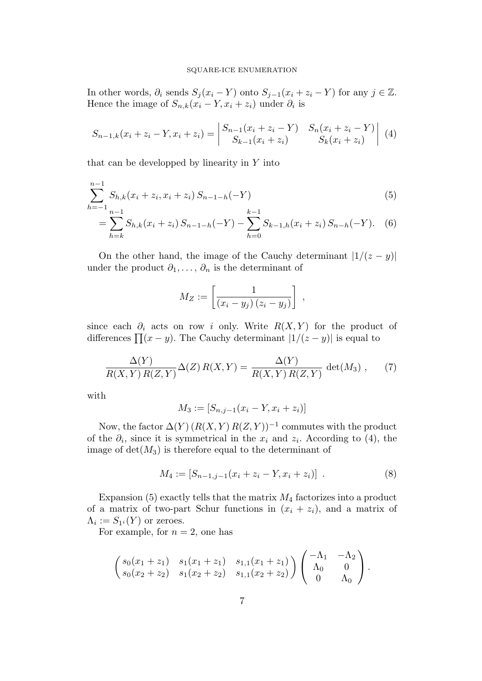### SQUARE-ICE ENUMERATION

In other words,  $\partial_i$  sends  $S_j(x_i - Y)$  onto  $S_{j-1}(x_i + z_i - Y)$  for any  $j \in \mathbb{Z}$ . Hence the image of  $S_{n,k}(x_i - Y, x_i + z_i)$  under  $\partial_i$  is

$$
S_{n-1,k}(x_i + z_i - Y, x_i + z_i) = \begin{vmatrix} S_{n-1}(x_i + z_i - Y) & S_n(x_i + z_i - Y) \\ S_{k-1}(x_i + z_i) & S_k(x_i + z_i) \end{vmatrix} (4)
$$

that can be developped by linearity in  $Y$  into

$$
\sum_{h=-1}^{n-1} S_{h,k}(x_i + z_i, x_i + z_i) S_{n-1-h}(-Y)
$$
\n(5)

$$
= \sum_{h=k}^{n-1} S_{h,k}(x_i + z_i) S_{n-1-h}(-Y) - \sum_{h=0}^{k-1} S_{k-1,h}(x_i + z_i) S_{n-h}(-Y). \tag{6}
$$

On the other hand, the image of the Cauchy determinant  $|1/(z - y)|$ under the product  $\partial_1, \ldots, \partial_n$  is the determinant of

$$
M_Z := \left[ \frac{1}{(x_i - y_j)(z_i - y_j)} \right] ,
$$

since each  $\partial_i$  acts on row i only. Write  $R(X, Y)$  for the product of differences  $\prod (x - y)$ . The Cauchy determinant  $|1/(z - y)|$  is equal to

$$
\frac{\Delta(Y)}{R(X,Y)R(Z,Y)}\Delta(Z)R(X,Y) = \frac{\Delta(Y)}{R(X,Y)R(Z,Y)}\det(M_3),\qquad(7)
$$

with

$$
M_3 := [S_{n,j-1}(x_i - Y, x_i + z_i)]
$$

Now, the factor  $\Delta(Y)$   $(R(X, Y) R(Z, Y))^{-1}$  commutes with the product of the  $\partial_i$ , since it is symmetrical in the  $x_i$  and  $z_i$ . According to (4), the image of  $det(M_3)$  is therefore equal to the determinant of

$$
M_4 := [S_{n-1,j-1}(x_i + z_i - Y, x_i + z_i)] \t . \t (8)
$$

Expansion  $(5)$  exactly tells that the matrix  $M_4$  factorizes into a product of a matrix of two-part Schur functions in  $(x_i + z_i)$ , and a matrix of  $\Lambda_i := S_{1^i}(Y)$  or zeroes.

For example, for  $n = 2$ , one has

$$
\begin{pmatrix} s_0(x_1+z_1) & s_1(x_1+z_1) & s_{1,1}(x_1+z_1) \ s_0(x_2+z_2) & s_1(x_2+z_2) & s_{1,1}(x_2+z_2) \end{pmatrix} \begin{pmatrix} -\Lambda_1 & -\Lambda_2 \ \Lambda_0 & 0 \ 0 & \Lambda_0 \end{pmatrix}.
$$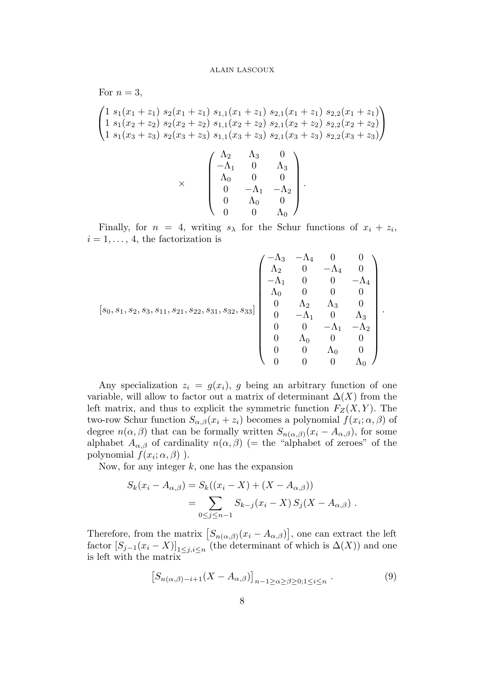For  $n=3$ ,  $\sqrt{ }$  $\overline{1}$  $1 s_1(x_1 + z_1) s_2(x_1 + z_1) s_{1,1}(x_1 + z_1) s_{2,1}(x_1 + z_1) s_{2,2}(x_1 + z_1)$  $1 s_1(x_2 + z_2) s_2(x_2 + z_2) s_{1,1}(x_2 + z_2) s_{2,1}(x_2 + z_2) s_{2,2}(x_2 + z_2)$  $1 s_1(x_3 + z_3) s_2(x_3 + z_3) s_{1,1}(x_3 + z_3) s_{2,1}(x_3 + z_3) s_{2,2}(x_3 + z_3)$  $\setminus$  $\overline{1}$ ×  $\sqrt{ }$  $\begin{array}{|c|c|} \hline \quad \quad & \quad \quad & \quad \quad \\ \hline \quad \quad & \quad \quad & \quad \quad \\ \hline \quad \quad & \quad \quad & \quad \quad \\ \hline \end{array}$  $\Lambda_2$   $\Lambda_3$  0  $-\Lambda_1$  0  $\Lambda_3$  $\Lambda_0$  0 0 0  $-\Lambda_1$   $-\Lambda_2$  $0 \qquad \Lambda_0 \qquad 0$  $0 \qquad 0 \qquad \Lambda_0$  $\setminus$  $\begin{array}{c} \hline \end{array}$ .

Finally, for  $n = 4$ , writing  $s_{\lambda}$  for the Schur functions of  $x_i + z_i$ ,  $i = 1, \ldots, 4$ , the factorization is

$$
\begin{bmatrix} s_0, s_1, s_2, s_3, s_{11}, s_{21}, s_{22}, s_{31}, s_{32}, s_{33} \end{bmatrix} \begin{bmatrix} -\Lambda_3 & -\Lambda_4 & 0 & 0 \\ \Lambda_2 & 0 & -\Lambda_4 & 0 \\ -\Lambda_1 & 0 & 0 & -\Lambda_4 \\ \Lambda_0 & 0 & 0 & 0 \\ 0 & \Lambda_2 & \Lambda_3 & 0 \\ 0 & -\Lambda_1 & 0 & \Lambda_3 \\ 0 & 0 & -\Lambda_1 & -\Lambda_2 \\ 0 & \Lambda_0 & 0 & 0 \\ 0 & 0 & \Lambda_0 & 0 \\ 0 & 0 & 0 & \Lambda_0 \end{bmatrix}
$$

.

Any specialization  $z_i = g(x_i)$ , g being an arbitrary function of one variable, will allow to factor out a matrix of determinant  $\Delta(X)$  from the left matrix, and thus to explicit the symmetric function  $F_Z(X, Y)$ . The two-row Schur function  $S_{\alpha,\beta}(x_i+z_i)$  becomes a polynomial  $f(x_i;\alpha,\beta)$  of degree  $n(\alpha, \beta)$  that can be formally written  $S_{n(\alpha, \beta)}(x_i - A_{\alpha, \beta})$ , for some alphabet  $A_{\alpha,\beta}$  of cardinality  $n(\alpha,\beta)$  (= the "alphabet of zeroes" of the polynomial  $f(x_i; \alpha, \beta)$ ).

Now, for any integer  $k$ , one has the expansion

$$
S_k(x_i - A_{\alpha,\beta}) = S_k((x_i - X) + (X - A_{\alpha,\beta}))
$$
  
= 
$$
\sum_{0 \le j \le n-1} S_{k-j}(x_i - X) S_j(X - A_{\alpha,\beta}).
$$

Therefore, from the matrix  $[S_{n(\alpha,\beta)}(x_i - A_{\alpha,\beta})]$ , one can extract the left factor  $[S_{j-1}(x_i - X)]_{1 \leq j,i \leq n}$  (the determinant of which is  $\Delta(X)$ ) and one is left with the matrix

$$
\left[S_{n(\alpha,\beta)-i+1}(X - A_{\alpha,\beta})\right]_{n-1 \ge \alpha \ge \beta \ge 0; 1 \le i \le n}.
$$
 (9)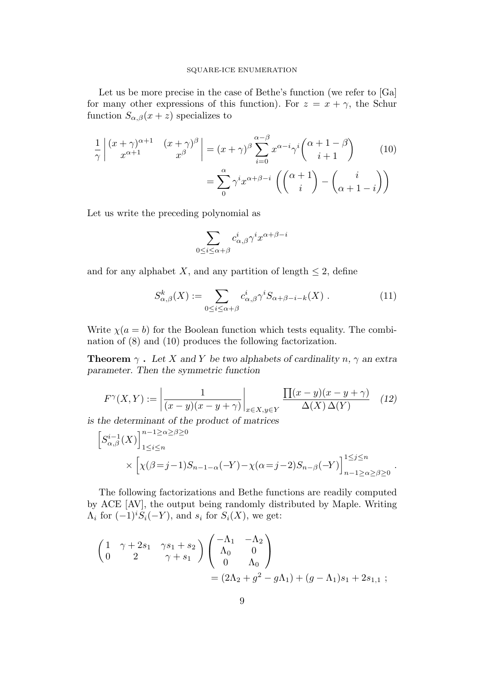Let us be more precise in the case of Bethe's function (we refer to [Ga] for many other expressions of this function). For  $z = x + \gamma$ , the Schur function  $S_{\alpha,\beta}(x+z)$  specializes to

$$
\frac{1}{\gamma} \begin{vmatrix} (x+\gamma)^{\alpha+1} & (x+\gamma)^{\beta} \\ x^{\alpha+1} & x^{\beta} \end{vmatrix} = (x+\gamma)^{\beta} \sum_{i=0}^{\alpha-\beta} x^{\alpha-i} \gamma^{i} {\alpha+1-\beta \choose i+1} \qquad (10)
$$

$$
= \sum_{0}^{\alpha} \gamma^{i} x^{\alpha+\beta-i} \left( {\alpha+1 \choose i} - {\binom{i}{\alpha+1-i}} \right)
$$

Let us write the preceding polynomial as

$$
\sum_{0\leq i\leq \alpha+\beta}c^i_{\alpha,\beta}\gamma^ix^{\alpha+\beta-i}
$$

and for any alphabet X, and any partition of length  $\leq 2$ , define

$$
S^k_{\alpha,\beta}(X) := \sum_{0 \le i \le \alpha + \beta} c^i_{\alpha,\beta} \gamma^i S_{\alpha+\beta-i-k}(X) . \tag{11}
$$

.

Write  $\chi(a = b)$  for the Boolean function which tests equality. The combination of (8) and (10) produces the following factorization.

**Theorem**  $\gamma$ . Let X and Y be two alphabets of cardinality n,  $\gamma$  an extra parameter. Then the symmetric function

$$
F^{\gamma}(X,Y) := \left| \frac{1}{(x-y)(x-y+\gamma)} \right|_{x \in X, y \in Y} \frac{\prod(x-y)(x-y+\gamma)}{\Delta(X)\,\Delta(Y)} \tag{12}
$$

is the determinant of the product of matrices

$$
\begin{aligned} \left[S_{\alpha,\beta}^{i-1}(X)\right]_{1\leq i\leq n}^{n-1\geq\alpha\geq\beta\geq 0} \\ &\times\left[\chi(\beta=j-1)S_{n-1-\alpha}(-Y)-\chi(\alpha=j-2)S_{n-\beta}(-Y)\right]_{n-1\geq\alpha\geq\beta\geq 0}^{1\leq j\leq n} \end{aligned}
$$

The following factorizations and Bethe functions are readily computed by ACE [AV], the output being randomly distributed by Maple. Writing  $\Lambda_i$  for  $(-1)^i S_i(-Y)$ , and  $s_i$  for  $S_i(X)$ , we get:

$$
\begin{pmatrix}\n1 & \gamma + 2s_1 & \gamma s_1 + s_2 \\
0 & 2 & \gamma + s_1\n\end{pmatrix}\n\begin{pmatrix}\n-\Lambda_1 & -\Lambda_2 \\
\Lambda_0 & 0 \\
0 & \Lambda_0\n\end{pmatrix}\n= (2\Lambda_2 + g^2 - g\Lambda_1) + (g - \Lambda_1)s_1 + 2s_{1,1};
$$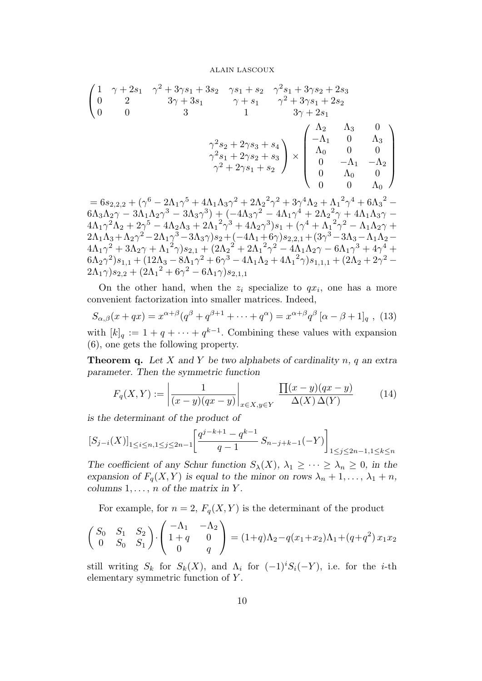$$
\begin{pmatrix}\n1 & \gamma + 2s_1 & \gamma^2 + 3\gamma s_1 + 3s_2 & \gamma s_1 + s_2 & \gamma^2 s_1 + 3\gamma s_2 + 2s_3 \\
0 & 2 & 3\gamma + 3s_1 & \gamma + s_1 & \gamma^2 + 3\gamma s_1 + 2s_2 \\
0 & 0 & 3 & 1 & 3\gamma + 2s_1\n\end{pmatrix}\n\begin{pmatrix}\n\Lambda_2 & \Lambda_3 & 0 \\
-\Lambda_1 & 0 & \Lambda_3 \\
\Lambda_0 & 0 & 0 \\
0 & -\Lambda_1 & -\Lambda_2 \\
0 & \Lambda_0 & 0 \\
0 & 0 & \Lambda_0\n\end{pmatrix}
$$

 $= 6 s_{2,2,2} + (\gamma^6 - 2 \Lambda_1 \gamma^5 + 4 \Lambda_1 \Lambda_3 \gamma^2 + 2 \Lambda_2^2 \gamma^2 + 3 \gamma^4 \Lambda_2 + {\Lambda_1}^2 \gamma^4 + 6 {\Lambda_3}^2 6 \Lambda_3 \Lambda_2 \gamma - 3 \Lambda_1 \Lambda_2 \gamma^3 - 3 \Lambda_3 \gamma^3) + (-4 \Lambda_3 \gamma^2 - 4 \Lambda_1 \gamma^4 + 2 \Lambda_2{}^2 \gamma + 4 \Lambda_1 \Lambda_3 \gamma 4 {\Lambda_1 \gamma^2 \Lambda_2} + 2 {\gamma^5} - 4 {\Lambda_2 \Lambda_3} + 2 {\Lambda_1}^2 {\gamma^3} + 4 {\Lambda_2 \gamma^3}) s_1 + ({\gamma^4} + {\Lambda_1}^2 {\gamma^2} - {\Lambda_1 \Lambda_2 \gamma} +$  $2 {\Lambda}_1 {\Lambda}_3 + {\Lambda}_2 {\gamma}^2 - 2 {\Lambda}_1 {\gamma}^3 - 3 {\Lambda}_3 {\gamma}) s_2 + (-4 {\Lambda}_1 + 6 {\gamma}) s_{2,2,1} + (3 {\gamma}^3 - 3 {\Lambda}_3 - {\Lambda}_1 {\Lambda}_2 4 {\Lambda_1 \gamma^2} + 3 {\Lambda_2 \gamma} + {\Lambda_1}^2 \gamma ) s_{2,1} + (2 {\Lambda_2}^2 + 2 {\Lambda_1}^2 {\gamma^2} - 4 {\Lambda_1} {\Lambda_2 \gamma} - 6 {\Lambda_1 \gamma^3} + 4 {\gamma^4} +$  $(6 {\Lambda_2} \gamma^2) s_{1,1} + (12 {\Lambda_3} - 8 {\Lambda_1} \gamma^2 + 6 \gamma^3 - 4 {\Lambda_1} {\Lambda_2} + 4 {\Lambda_1}^2 \gamma ) s_{1,1,1} + (2 {\Lambda_2} + 2 \gamma^2 (2{\Lambda}_1\gamma) s_{2,2} + (2{\Lambda}_1{}^2 + 6\gamma^2 - 6 {\Lambda}_1\gamma) s_{2,1,1}$ 

On the other hand, when the  $z_i$  specialize to  $qx_i$ , one has a more convenient factorization into smaller matrices. Indeed,

$$
S_{\alpha,\beta}(x+qx) = x^{\alpha+\beta}(q^{\beta}+q^{\beta+1}+\cdots+q^{\alpha}) = x^{\alpha+\beta}q^{\beta}[\alpha-\beta+1]_q , (13)
$$

with  $[k]_q := 1 + q + \cdots + q^{k-1}$ . Combining these values with expansion (6), one gets the following property.

**Theorem q.** Let X and Y be two alphabets of cardinality n, q an extra parameter. Then the symmetric function

$$
F_q(X,Y) := \left| \frac{1}{(x-y)(qx-y)} \right|_{x \in X, y \in Y} \frac{\prod(x-y)(qx-y)}{\Delta(X)\Delta(Y)} \tag{14}
$$

is the determinant of the product of

$$
[S_{j-i}(X)]_{1\leq i\leq n,1\leq j\leq 2n-1}\left[\frac{q^{j-k+1}-q^{k-1}}{q-1}\,S_{n-j+k-1}(-Y)\right]_{1\leq j\leq 2n-1,1\leq k\leq n}
$$

The coefficient of any Schur function  $S_{\lambda}(X)$ ,  $\lambda_1 \geq \cdots \geq \lambda_n \geq 0$ , in the expansion of  $F_q(X, Y)$  is equal to the minor on rows  $\lambda_n + 1, \ldots, \lambda_1 + n$ , columns  $1, \ldots, n$  of the matrix in Y.

For example, for  $n = 2$ ,  $F_q(X, Y)$  is the determinant of the product

$$
\begin{pmatrix} S_0 & S_1 & S_2 \ 0 & S_0 & S_1 \end{pmatrix} \cdot \begin{pmatrix} -\Lambda_1 & -\Lambda_2 \ 1+q & 0 \ 0 & q \end{pmatrix} = (1+q)\Lambda_2 - q(x_1+x_2)\Lambda_1 + (q+q^2)x_1x_2
$$

still writing  $S_k$  for  $S_k(X)$ , and  $\Lambda_i$  for  $(-1)^i S_i(-Y)$ , i.e. for the *i*-th elementary symmetric function of Y .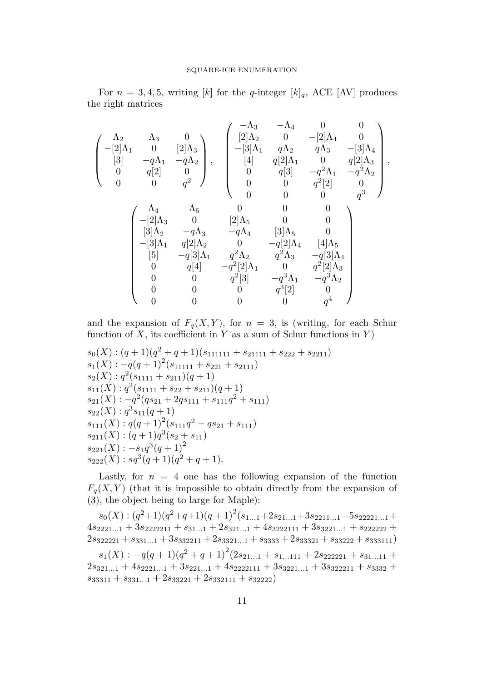For  $n = 3, 4, 5$ , writing [k] for the q-integer  $[k]_q$ , ACE [AV] produces the right matrices

$$
\left(\begin{array}{cccc} \Lambda_2 & \Lambda_3 & 0 \\ -[2]\Lambda_1 & 0 & [2]\Lambda_3 \\ [3] & -q\Lambda_1 & -q\Lambda_2 \\ 0 & q[2] & 0 \\ 0 & 0 & q^2 \end{array}\right), \quad \left(\begin{array}{cccc} -\Lambda_3 & -\Lambda_4 & 0 & 0 \\ [2]\Lambda_2 & 0 & -[2]\Lambda_4 & 0 \\ -[3]\Lambda_1 & q\Lambda_2 & q\Lambda_3 & -[3]\Lambda_4 \\ [4] & q[2]\Lambda_1 & 0 & q[2]\Lambda_3 \\ 0 & q[3] & -q^2\Lambda_1 & -q^2\Lambda_2 \\ 0 & 0 & q^2[2] & 0 \\ 0 & 0 & 0 & q^3 \end{array}\right),
$$

$$
\left(\begin{array}{cccc} \Lambda_4 & \Lambda_5 & 0 & 0 & 0 \\ -[2]\Lambda_3 & 0 & [2]\Lambda_5 & 0 & 0 \\ [3]\Lambda_2 & -q\Lambda_3 & -q\Lambda_4 & [3]\Lambda_5 & 0 \\ -[3]\Lambda_1 & q[2]\Lambda_2 & 0 & -q[2]\Lambda_4 & [4]\Lambda_5 \\ [5] & -q[3]\Lambda_1 & q^2\Lambda_2 & q^2\Lambda_3 & -q[3]\Lambda_4 \\ 0 & q[4] & -q^2[2]\Lambda_1 & 0 & q^2[2]\Lambda_3 \\ 0 & 0 & q^2[3] & -q^3\Lambda_1 & -q^3\Lambda_2 \\ 0 & 0 & 0 & 0 & q^4 \end{array}\right)
$$

and the expansion of  $F_q(X, Y)$ , for  $n = 3$ , is (writing, for each Schur function of X, its coefficient in Y as a sum of Schur functions in Y)

$$
s_0(X): (q+1)(q^2+q+1)(s_{111111}+s_{21111}+s_{222}+s_{2211})s_1(X): -q(q+1)^2(s_{11111}+s_{221}+s_{2111})s_2(X): q^2(s_{1111}+s_{211})(q+1)s_{11}(X): q^2(s_{1111}+s_{22}+s_{211})(q+1)s_{21}(X): -q^2(qs_{21}+2qs_{111}+s_{111}q^2+s_{111})s_{22}(X): q^3s_{11}(q+1)s_{111}(X): q(q+1)^2(s_{111}q^2-qs_{21}+s_{111})s_{211}(X): (q+1)q^3(s_2+s_{11})s_{221}(X): -s_1q^3(q+1)^2s_{222}(X): sq^3(q+1)(q^2+q+1).
$$

Lastly, for  $n = 4$  one has the following expansion of the function  $F_q(X, Y)$  (that it is impossible to obtain directly from the expansion of (3), the object being to large for Maple):

 $s_0(X): (q^2+1)(q^2+q+1)(q+1)^2(s_{1...1}+2s_{21...1}+3s_{2211...1}+5s_{22221...1}+$  $4s_{2221...1} + 3s_{2222211} + s_{31...1} + 2s_{321...1} + 4s_{3222111} + 3s_{3221...1} + s_{222222} +$  $2s_{322221} + s_{331...1} + 3s_{332211} + 2s_{3321...1} + s_{3333} + 2s_{33321} + s_{33222} + s_{333111})$ 

 $s_1(X) : -q(q+1)(q^2+q+1)^2(2s_{21...1}+s_{1...111}+2s_{222221}+s_{31...11}+$  $2s_{321...1} + 4s_{2221...1} + 3s_{221...1} + 4s_{2222111} + 3s_{3221...1} + 3s_{322211} + s_{3332} +$  $s_{33311} + s_{331...1} + 2s_{33221} + 2s_{332111} + s_{32222}$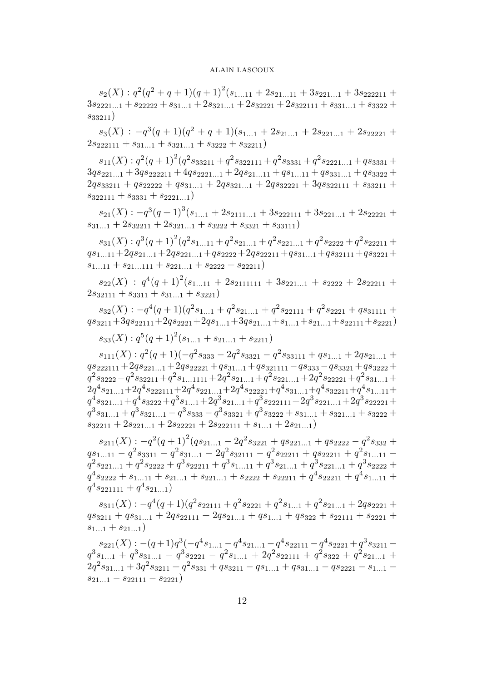$s_2(X): q^2(q^2+q+1)(q+1)^2(s_{1...11}+2s_{21...11}+3s_{221...1}+3s_{222211}+$  $3s_{2221...1} + s_{22222} + s_{31...1} + 2s_{321...1} + 2s_{32221} + 2s_{322111} + s_{331...1} + s_{3322} +$  $s_{33211})$ 

 $s_3(X)$ :  $-q^3(q+1)(q^2+q+1)(s_{1...1}+2s_{21...1}+2s_{221...1}+2s_{22221}+$  $2s_{222111} + s_{31...1} + s_{321...1} + s_{3222} + s_{32211}$ 

 $s_{11}(X): q^2(q+1)^2(q^2s_{33211}+q^2s_{322111}+q^2s_{3331}+q^2s_{2221...1}+qs_{3331}+$  $3q_{s_{221...1}} + 3q_{s_{222211}} + 4q_{s_{2221...1}} + 2q_{s_{21...11}} + q_{s_{1...11}} + q_{s_{331...1}} + q_{s_{3322}} +$  $2qs_{33211} + qs_{22222} + qs_{31...1} + 2qs_{321...1} + 2qs_{32221} + 3qs_{322111} + s_{33211} +$  $s_{322111} + s_{3331} + s_{2221...1}$ 

 $s_{21}(X) : -q^3(q+1)^3(s_{1...1}+2s_{2111...1}+3s_{222111}+3s_{221...1}+2s_{22221}+$  $s_{31...1} + 2s_{32211} + 2s_{321...1} + s_{3222} + s_{3321} + s_{33111}$ 

 $s_{31}(X): q^3(q+1)^2(q^2s_{1...11}+q^2s_{21...1}+q^2s_{221...1}+q^2s_{2222}+q^2s_{22211}+$  $qs_{1...11}+2qs_{21...1}+2qs_{221...1}+qs_{2222}+2qs_{22211}+qs_{31...1}+qs_{32111}+qs_{3221}+$  $s_{1...11} + s_{21...111} + s_{221...1} + s_{2222} + s_{22211}$ 

 $s_{22}(X)$ :  $q^4(q+1)^2(s_{1...11}+2s_{2111111}+3s_{221...1}+s_{2222}+2s_{22211}+$  $2s_{32111} + s_{3311} + s_{31...1} + s_{3221}$ 

 $s_{32}(X)$ :  $-q^4(q+1)(q^2s_{1...1}+q^2s_{21...1}+q^2s_{22111}+q^2s_{2221}+qs_{31111}+$  $qs_{3211}+3qs_{22111}+2qs_{2221}+2qs_{1...1}+3qs_{21...1}+s_{1...1}+s_{21...1}+s_{22111}+s_{2221})$ 

 $s_{33}(X): q^{5}(q+1)^{2}(s_{1...1}+s_{21...1}+s_{2211})$ 

 $s_{111}(X) : q^2(q+1)(-q^2s_{333} - 2q^2s_{3321} - q^2s_{33111} + qs_{1...1} + 2qs_{21...1} +$  $qs_{222111}+2qs_{221...1}+2qs_{22221}+qs_{31...1}+qs_{321111}-qs_{333}-qs_{3321}+qs_{3222}+$  $q^2s_{3222}-q^2s_{32211}+q^2s_{1...1111}+2q^2s_{21...1}+q^2s_{221...1}+2q^2s_{22221}+q^2s_{31...1}+$  $2q^4s_{21...1}+2q^4s_{222111}+2q^4s_{221...1}+2q^4s_{22221}+q^4s_{31...1}+q^4s_{32211}+q^4s_{1...11}+$  $q^4s_{321...1}+q^4s_{3222}+q^3s_{1...1}+2q^3s_{21...1}+q^3s_{222111}+2q^3s_{221...1}+2q^3s_{22221}+$  $q^3s_{31...1} + q^3s_{321...1} - q^3s_{333} - q^3s_{3321} + q^3s_{3222} + s_{31...1} + s_{321...1} + s_{3222} +$  $s_{32211} + 2s_{221...1} + 2s_{22221} + 2s_{222111} + s_{1...1} + 2s_{21...1})$ 

 $s_{211}(X) : -q^2(q+1)^2(qs_{21...1} - 2q^2s_{3221} + qs_{221...1} + qs_{2222} - q^2s_{332} +$  $qs_{1...11}-q^2s_{3311}-q^2s_{31...1}-2q^2s_{32111}-q^2s_{22211}+qs_{22211}+q^2s_{1...11}$  $q^2s_{221...1} + q^2s_{2222} + q^3s_{22211} + q^3s_{1...11} + q^3s_{21...1} + q^3s_{221...1} + q^3s_{2222} +$  $q^4s_{2222} + s_{1...11} + s_{21...1} + s_{221...1} + s_{2222} + s_{22211} + q^4s_{22211} + q^4s_{1...11} +$  $q^4s_{221111} + q^4s_{21...1})$ 

 $s_{311}(X) : -q^4(q+1)(q^2s_{22111}+q^2s_{2221}+q^2s_{1...1}+q^2s_{21...1}+2qs_{2221}+$  $qs_{3211} + qs_{31...1} + 2qs_{22111} + 2qs_{21...1} + qs_{1...1} + qs_{322} + s_{22111} + s_{2221} +$  $s_{1...1} + s_{21...1}$ 

 $s_{221}(X) : -(q+1)q^3(-q^4s_{1...1} - q^4s_{21...1} - q^4s_{22111} - q^4s_{2221} + q^3s_{3211}$  $q^{3} s_{1...1} + q^{3} s_{31...1} - q^{3} s_{2221} - q^{2} s_{1...1} + 2 q^{2} s_{22111} + q^{2} s_{322} + q^{2} s_{21...1} +$  $2q^2s_{31...1} + 3q^2s_{3211} + q^2s_{331} + qs_{3211} - qs_{1...1} + qs_{31...1} - qs_{2221} - s_{1...1}$  $s_{21...1} - s_{22111} - s_{2221}$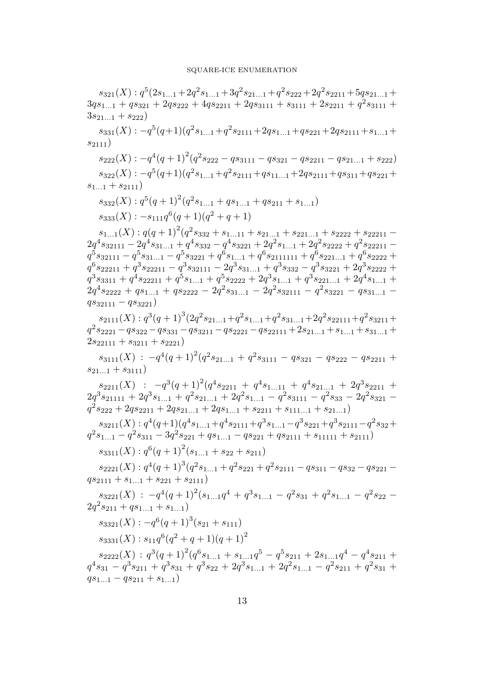$s_{321}(X): q^5(2s_{1...1}+2q^2s_{1...1}+3q^2s_{21...1}+q^2s_{222}+2q^2s_{2211}+5qs_{21...1}+$  $3qs_{1...1} + qs_{321} + 2qs_{222} + 4qs_{2211} + 2qs_{3111} + s_{3111} + 2s_{2211} + q^2s_{3111} +$  $3s_{21...1} + s_{222}$  $s_{331}(X)$ :  $-q^{5}(q+1)(q^{2}s_{1...1}+q^{2}s_{2111}+2qs_{1...1}+qs_{221}+2qs_{2111}+s_{1...1}+$  $s_{2111})$  $s_{222}(X) : -q^4(q+1)^2(q^2s_{222}-qs_{3111}-qs_{321}-qs_{2211}-qs_{21...1}+s_{222})$  $s_{322}(X)$ :  $-q^{5}(q+1)(q^{2}s_{1...1}+q^{2}s_{2111}+qs_{11...1}+2qs_{2111}+qs_{311}+qs_{221}+$  $s_{1...1} + s_{2111}$  $s_{332}(X): q^{5}(q+1)^{2}(q^{2}s_{1...1}+qs_{1...1}+qs_{211}+s_{1...1})$  $s_{333}(X)$ :  $-s_{111}q^{6}(q+1)(q^{2}+q+1)$  $s_{1...1}(X): q(q+1)^2(q^2s_{332}+s_{1...11}+s_{21...1}+s_{221...1}+s_{2222}+s_{22211} 2q^4s_{32111}-2q^4s_{31...1}+q^4s_{332}-q^4s_{3221}+2q^2s_{1...1}+2q^2s_{2222}+q^2s_{22211}$  $q^{\bar{5}}s_{32111}-q^{\bar{5}}s_{31...1}-q^{\bar{5}}s_{3221}+q^{\bar{6}}s_{1...1}+q^6s_{2111111}+q^{\bar{6}}s_{221...1}+q^6s_{2222}+$  $q^{6} s_{22211} + q^{3} s_{22211} - q^{3} s_{32111} - 2 q^{3} s_{31...1} + q^{3} s_{332} - q^{3} s_{3221} + 2 q^{3} s_{2222} +$  $q^3s_{3311} + q^4s_{22211} + q^5s_{1...1} + q^5s_{2222} + 2q^3s_{1...1} + q^3s_{221...1} + 2q^4s_{1...1} +$  $2q^4s_{2222} + qs_{1...1} + qs_{2222} - 2q^2s_{31...1} - 2q^2s_{32111} - q^2s_{3221} - qs_{31...1}$  $qs_{32111} - qs_{3221}$  $s_{2111}(X) : q^3(q+1)^3(2q^2s_{21...1}+q^2s_{1...1}+q^2s_{31...1}+2q^2s_{22111}+q^2s_{3211}+$  $q^2s_{2221} - q s_{322} - q s_{331} - q s_{3211} - q s_{2221} - q s_{22111} + 2 s_{21...1} + s_{1...1} + s_{31...1} +$  $2s_{22111} + s_{3211} + s_{2221}$  $s_{3111}(X)$  :  $-q^4(q+1)^2(q^2s_{21...1}+q^2s_{3111}-qs_{321}-qs_{222}-qs_{2211}+$  $s_{21}$   $_1 + s_{3111}$  $s_{2211}(X)$  :  $-q^3(q+1)^2(q^4s_{2211}+q^4s_{1...11}+q^4s_{21...1}+2q^3s_{2211}+$  $2q^3s_{21111} + 2q^3s_{1...1} + q^2s_{21...1} + 2q^2s_{1...1} - q^2s_{3111} - q^2s_{33} - 2q^2s_{321}$  $q^2s_{222} + 2qs_{2211} + 2qs_{21...1} + 2qs_{1...1} + s_{2211} + s_{111...1} + s_{21...1})$  $s_{3211}(X): q^4(q+1)(q^4s_{1...1}+q^4s_{2111}+q^3s_{1...1}-q^3s_{221}+q^3s_{2111}-q^2s_{32}+$  $q^2s_{1...1} - q^2s_{311} - 3q^2s_{221} + qs_{1...1} - qs_{221} + qs_{2111} + s_{11111} + s_{2111})$  $s_{3311}(X) : q^6(q+1)^2(s_{1...1}+s_{22}+s_{211})$  $s_{2221}(X) : q^4(q+1)^3(q^2s_{1...1}+q^2s_{221}+q^2s_{2111}-qs_{311}-qs_{32}-qs_{221}$  $qs_{2111} + s_{1}$   $1 + s_{221} + s_{2111}$  $s_{3221}(X)$ :  $-q^4(q+1)^2(s_{1...1}q^4+q^3s_{1...1}-q^2s_{31}+q^2s_{1...1}-q^2s_{22} 2q^2s_{211} + qs_{1...1} + s_{1...1})$  $s_{3321}(X) : -q^{6}(q+1)^{3}(s_{21}+s_{111})$  $s_{3331}(X)$ :  $s_{11}q^6(q^2+q+1)(q+1)^2$  $s_{2222}(X)$ :  $q^3(q+1)^2(q^6s_{1...1}+s_{1...1}q^5-q^5s_{211}+2s_{1...1}q^4-q^4s_{211}+$  $q^4s_{31} - q^3s_{211} + q^3s_{31} + q^3s_{22} + 2q^3s_{1...1} + 2q^2s_{1...1} - q^2s_{211} + q^2s_{31} +$  $qs_{1...1} - qs_{211} + s_{1...1}$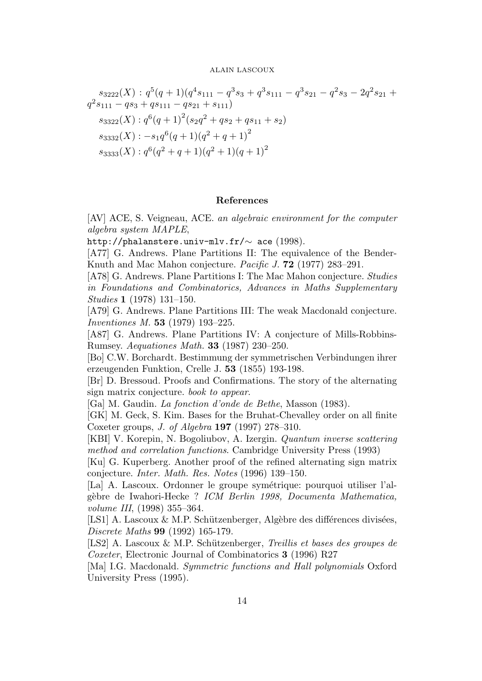$$
s_{3222}(X) : q^5(q+1)(q^4s_{111} - q^3s_3 + q^3s_{111} - q^3s_{21} - q^2s_3 - 2q^2s_{21} +
$$
  
\n
$$
q^2s_{111} - qs_3 + qs_{111} - qs_{21} + s_{111})
$$
  
\n
$$
s_{3322}(X) : q^6(q+1)^2(s_2q^2 + qs_2 + qs_{11} + s_2)
$$
  
\n
$$
s_{3332}(X) : -s_1q^6(q+1)(q^2+q+1)^2
$$
  
\n
$$
s_{3333}(X) : q^6(q^2+q+1)(q^2+1)(q+1)^2
$$

# References

[AV] ACE, S. Veigneau, ACE. an algebraic environment for the computer algebra system MAPLE,

http://phalanstere.univ-mlv.fr/∼ ace (1998).

[A77] G. Andrews. Plane Partitions II: The equivalence of the Bender-Knuth and Mac Mahon conjecture. Pacific J. 72 (1977) 283–291.

[A78] G. Andrews. Plane Partitions I: The Mac Mahon conjecture. Studies in Foundations and Combinatorics, Advances in Maths Supplementary Studies 1 (1978) 131–150.

[A79] G. Andrews. Plane Partitions III: The weak Macdonald conjecture. Inventiones M. 53 (1979) 193–225.

[A87] G. Andrews. Plane Partitions IV: A conjecture of Mills-Robbins-Rumsey. Aequationes Math. 33 (1987) 230–250.

[Bo] C.W. Borchardt. Bestimmung der symmetrischen Verbindungen ihrer erzeugenden Funktion, Crelle J. 53 (1855) 193-198.

[Br] D. Bressoud. Proofs and Confirmations. The story of the alternating sign matrix conjecture. book to appear.

[Ga] M. Gaudin. La fonction d'onde de Bethe, Masson (1983).

[GK] M. Geck, S. Kim. Bases for the Bruhat-Chevalley order on all finite Coxeter groups, J. of Algebra 197 (1997) 278–310.

[KBI] V. Korepin, N. Bogoliubov, A. Izergin. Quantum inverse scattering method and correlation functions. Cambridge University Press (1993)

[Ku] G. Kuperberg. Another proof of the refined alternating sign matrix conjecture. Inter. Math. Res. Notes (1996) 139–150.

[La] A. Lascoux. Ordonner le groupe symétrique: pourquoi utiliser l'algèbre de Iwahori-Hecke ? ICM Berlin 1998, Documenta Mathematica, volume III, (1998) 355–364.

[LS1] A. Lascoux  $\&$  M.P. Schützenberger, Algèbre des différences divisées, Discrete Maths 99 (1992) 165-179.

[LS2] A. Lascoux & M.P. Schützenberger, Treillis et bases des groupes de Coxeter, Electronic Journal of Combinatorics 3 (1996) R27

[Ma] I.G. Macdonald. Symmetric functions and Hall polynomials Oxford University Press (1995).